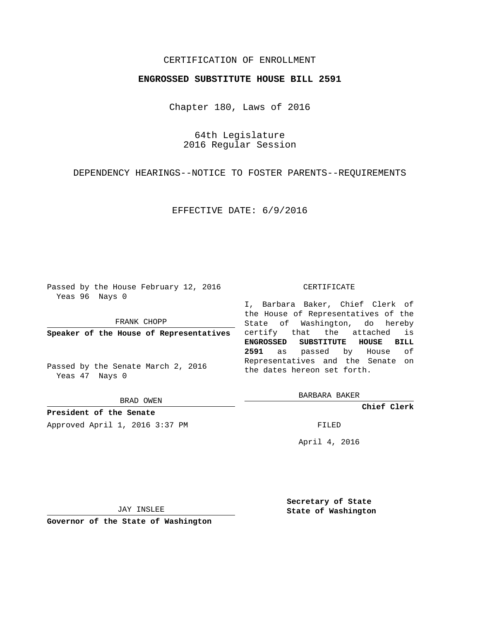## CERTIFICATION OF ENROLLMENT

## **ENGROSSED SUBSTITUTE HOUSE BILL 2591**

Chapter 180, Laws of 2016

64th Legislature 2016 Regular Session

DEPENDENCY HEARINGS--NOTICE TO FOSTER PARENTS--REQUIREMENTS

EFFECTIVE DATE: 6/9/2016

Passed by the House February 12, 2016 Yeas 96 Nays 0

FRANK CHOPP

Passed by the Senate March 2, 2016 Yeas 47 Nays 0

BRAD OWEN

**President of the Senate** Approved April 1, 2016 3:37 PM FILED

## CERTIFICATE

**Speaker of the House of Representatives** certify that the attached is I, Barbara Baker, Chief Clerk of the House of Representatives of the State of Washington, do hereby **ENGROSSED SUBSTITUTE HOUSE BILL 2591** as passed by House of Representatives and the Senate on the dates hereon set forth.

BARBARA BAKER

**Chief Clerk**

April 4, 2016

JAY INSLEE

**Governor of the State of Washington**

**Secretary of State State of Washington**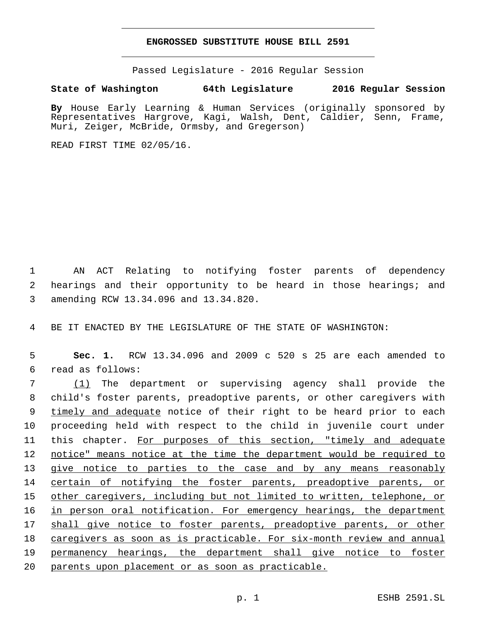## **ENGROSSED SUBSTITUTE HOUSE BILL 2591**

Passed Legislature - 2016 Regular Session

**State of Washington 64th Legislature 2016 Regular Session**

**By** House Early Learning & Human Services (originally sponsored by Representatives Hargrove, Kagi, Walsh, Dent, Caldier, Senn, Frame, Muri, Zeiger, McBride, Ormsby, and Gregerson)

READ FIRST TIME 02/05/16.

1 AN ACT Relating to notifying foster parents of dependency 2 hearings and their opportunity to be heard in those hearings; and amending RCW 13.34.096 and 13.34.820.3

4 BE IT ENACTED BY THE LEGISLATURE OF THE STATE OF WASHINGTON:

5 **Sec. 1.** RCW 13.34.096 and 2009 c 520 s 25 are each amended to read as follows:6

 (1) The department or supervising agency shall provide the child's foster parents, preadoptive parents, or other caregivers with 9 timely and adequate notice of their right to be heard prior to each proceeding held with respect to the child in juvenile court under this chapter. For purposes of this section, "timely and adequate notice" means notice at the time the department would be required to give notice to parties to the case and by any means reasonably 14 certain of notifying the foster parents, preadoptive parents, or other caregivers, including but not limited to written, telephone, or 16 in person oral notification. For emergency hearings, the department 17 shall give notice to foster parents, preadoptive parents, or other caregivers as soon as is practicable. For six-month review and annual permanency hearings, the department shall give notice to foster parents upon placement or as soon as practicable.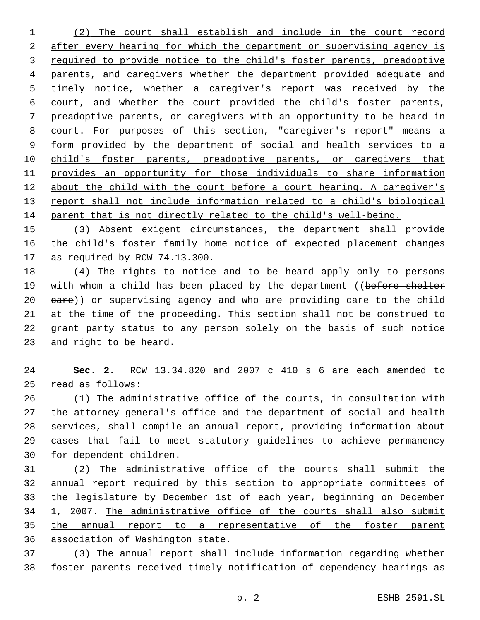(2) The court shall establish and include in the court record 2 after every hearing for which the department or supervising agency is 3 required to provide notice to the child's foster parents, preadoptive parents, and caregivers whether the department provided adequate and 5 timely notice, whether a caregiver's report was received by the court, and whether the court provided the child's foster parents, preadoptive parents, or caregivers with an opportunity to be heard in court. For purposes of this section, "caregiver's report" means a form provided by the department of social and health services to a 10 child's foster parents, preadoptive parents, or caregivers that provides an opportunity for those individuals to share information about the child with the court before a court hearing. A caregiver's report shall not include information related to a child's biological parent that is not directly related to the child's well-being.

 (3) Absent exigent circumstances, the department shall provide the child's foster family home notice of expected placement changes as required by RCW 74.13.300.

 (4) The rights to notice and to be heard apply only to persons 19 with whom a child has been placed by the department ((before shelter 20 eare)) or supervising agency and who are providing care to the child at the time of the proceeding. This section shall not be construed to grant party status to any person solely on the basis of such notice 23 and right to be heard.

 **Sec. 2.** RCW 13.34.820 and 2007 c 410 s 6 are each amended to read as follows:25

 (1) The administrative office of the courts, in consultation with the attorney general's office and the department of social and health services, shall compile an annual report, providing information about cases that fail to meet statutory guidelines to achieve permanency 30 for dependent children.

 (2) The administrative office of the courts shall submit the annual report required by this section to appropriate committees of the legislature by December 1st of each year, beginning on December 1, 2007. The administrative office of the courts shall also submit 35 the annual report to a representative of the foster parent association of Washington state.

 (3) The annual report shall include information regarding whether foster parents received timely notification of dependency hearings as